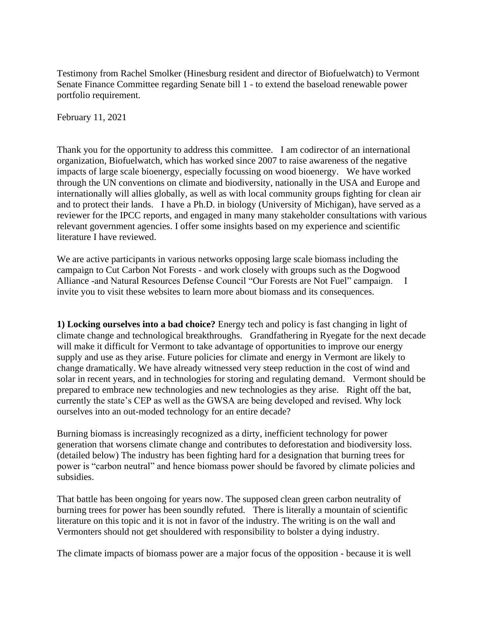Testimony from Rachel Smolker (Hinesburg resident and director of Biofuelwatch) to Vermont Senate Finance Committee regarding Senate bill 1 - to extend the baseload renewable power portfolio requirement.

February 11, 2021

Thank you for the opportunity to address this committee. I am codirector of an international organization, Biofuelwatch, which has worked since 2007 to raise awareness of the negative impacts of large scale bioenergy, especially focussing on wood bioenergy. We have worked through the UN conventions on climate and biodiversity, nationally in the USA and Europe and internationally will allies globally, as well as with local community groups fighting for clean air and to protect their lands. I have a Ph.D. in biology (University of Michigan), have served as a reviewer for the IPCC reports, and engaged in many many stakeholder consultations with various relevant government agencies. I offer some insights based on my experience and scientific literature I have reviewed.

We are active participants in various networks opposing large scale biomass including the campaign to [Cut Carbon Not Forests](https://www.nrdc.org/media/2020/200618) - and work closely with groups such as the [Dogwood](https://www.dogwoodalliance.org/)  [Alliance](https://www.dogwoodalliance.org/) -and Natural Resources Defense Council ["Our Forests are Not Fuel"](https://www.nrdc.org/resources/our-forests-arent-fuel) campaign. I invite you to visit these websites to learn more about biomass and its consequences.

**1) Locking ourselves into a bad choice?** Energy tech and policy is fast changing in light of climate change and technological breakthroughs. Grandfathering in Ryegate for the next decade will make it difficult for Vermont to take advantage of opportunities to improve our energy supply and use as they arise. Future policies for climate and energy in Vermont are likely to change dramatically. We have already witnessed very steep reduction in the cost of wind and solar in recent years, and in technologies for storing and regulating demand. Vermont should be prepared to embrace new technologies and new technologies as they arise. Right off the bat, currently the state's CEP as well as the GWSA are being developed and revised. Why lock ourselves into an out-moded technology for an entire decade?

Burning biomass is increasingly recognized as a dirty, inefficient technology for power generation that worsens climate change and contributes to deforestation and biodiversity loss. (detailed below) The industry has been fighting hard for a designation that burning trees for power is "carbon neutral" and hence biomass power should be favored by climate policies and subsidies.

That battle has been ongoing for years now. The supposed clean green carbon neutrality of burning trees for power has been soundly refuted. There is literally a mountain of scientific literature on this topic and it is not in favor of the industry. The writing is on the wall and Vermonters should not get shouldered with responsibility to bolster a dying industry.

The climate impacts of biomass power are a major focus of the opposition - because it is well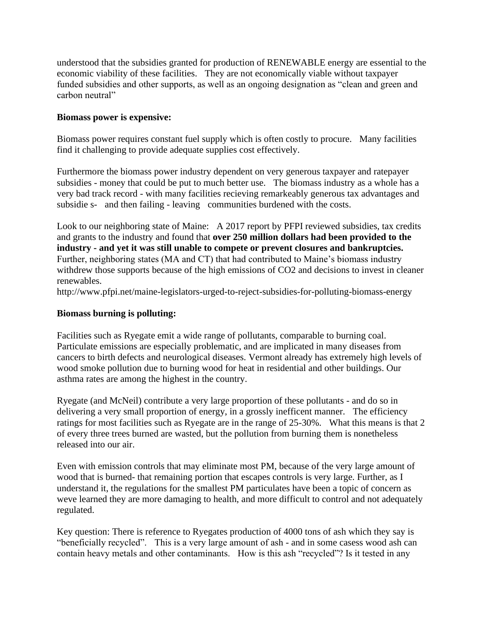understood that the subsidies granted for production of RENEWABLE energy are essential to the economic viability of these facilities. They are not economically viable without taxpayer funded subsidies and other supports, as well as an ongoing designation as "clean and green and carbon neutral"

# **Biomass power is expensive:**

Biomass power requires constant fuel supply which is often costly to procure. Many facilities find it challenging to provide adequate supplies cost effectively.

Furthermore the biomass power industry dependent on very generous taxpayer and ratepayer subsidies - money that could be put to much better use. The biomass industry as a whole has a very bad track record - with many facilities recieving remarkeably generous tax advantages and subsidie s- and then failing - leaving communities burdened with the costs.

Look to our neighboring state of Maine: A 2017 report by PFPI reviewed subsidies, tax credits and grants to the industry and found that **over 250 million dollars had been provided to the industry - and yet it was still unable to compete or prevent closures and bankruptcies.**  Further, neighboring states (MA and CT) that had contributed to Maine's biomass industry withdrew those supports because of the high emissions of CO2 and decisions to invest in cleaner renewables.

<http://www.pfpi.net/maine-legislators-urged-to-reject-subsidies-for-polluting-biomass-energy>

## **Biomass burning is polluting:**

Facilities such as Ryegate emit a wide range of pollutants, comparable to burning coal. Particulate emissions are especially problematic, and are implicated in many diseases from cancers to birth defects and neurological diseases. Vermont already has extremely high levels of wood smoke pollution due to burning wood for heat in residential and other buildings. Our asthma rates are among the highest in the country.

Ryegate (and McNeil) contribute a very large proportion of these pollutants - and do so in delivering a very small proportion of energy, in a grossly inefficent manner. The efficiency ratings for most facilities such as Ryegate are in the range of 25-30%. What this means is that 2 of every three trees burned are wasted, but the pollution from burning them is nonetheless released into our air.

Even with emission controls that may eliminate most PM, because of the very large amount of wood that is burned- that remaining portion that escapes controls is very large. Further, as I understand it, the regulations for the smallest PM particulates have been a topic of concern as weve learned they are more damaging to health, and more difficult to control and not adequately regulated.

Key question: There is reference to Ryegates production of 4000 tons of ash which they say is "beneficially recycled". This is a very large amount of ash - and in some casess wood ash can contain heavy metals and other contaminants. How is this ash "recycled"? Is it tested in any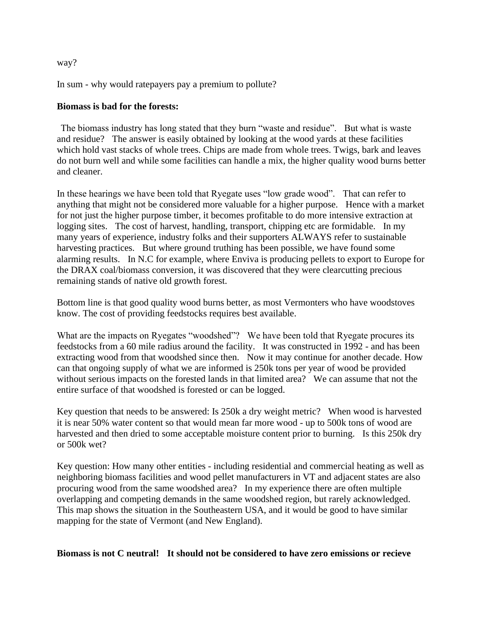way?

In sum - why would ratepayers pay a premium to pollute?

## **Biomass is bad for the forests:**

The biomass industry has long stated that they burn "waste and residue". But what is waste and residue? The answer is easily obtained by looking at the wood yards at these facilities which hold vast stacks of whole trees. Chips are made from whole trees. Twigs, bark and leaves do not burn well and while some facilities can handle a mix, the higher quality wood burns better and cleaner.

In these hearings we have been told that Ryegate uses "low grade wood". That can refer to anything that might not be considered more valuable for a higher purpose. Hence with a market for not just the higher purpose timber, it becomes profitable to do more intensive extraction at logging sites. The cost of harvest, handling, transport, chipping etc are formidable. In my many years of experience, industry folks and their supporters ALWAYS refer to sustainable harvesting practices. But where ground truthing has been possible, we have found some alarming results. In N.C for example, where Enviva is producing pellets to export to Europe for the DRAX coal/biomass conversion, it was discovered that they were [clearcutting](https://www.nrdc.org/media/2019/190618) precious remaining stands of native old growth forest.

Bottom line is that good quality wood burns better, as most Vermonters who have woodstoves know. The cost of providing feedstocks requires best available.

What are the impacts on Ryegates "woodshed"? We have been told that Ryegate procures its feedstocks from a 60 mile radius around the facility. It was constructed in 1992 - and has been extracting wood from that woodshed since then. Now it may continue for another decade. How can that ongoing supply of what we are informed is 250k tons per year of wood be provided without serious impacts on the forested lands in that limited area? We can assume that not the entire surface of that woodshed is forested or can be logged.

Key question that needs to be answered: Is 250k a dry weight metric? When wood is harvested it is near 50% water content so that would mean far more wood - up to 500k tons of wood are harvested and then dried to some acceptable moisture content prior to burning. Is this 250k dry or 500k wet?

Key question: How many other entities - including residential and commercial heating as well as neighboring biomass facilities and wood pellet manufacturers in VT and adjacent states are also procuring wood from the same woodshed area? In my experience there are often multiple overlapping and competing demands in the same woodshed region, but rarely acknowledged. [This map](https://www.nrdc.org/sites/default/files/woody-biomass-facilities-map.pdf) shows the situation in the Southeastern USA, and it would be good to have similar mapping for the state of Vermont (and New England).

**Biomass is not C neutral! It should not be considered to have zero emissions or recieve**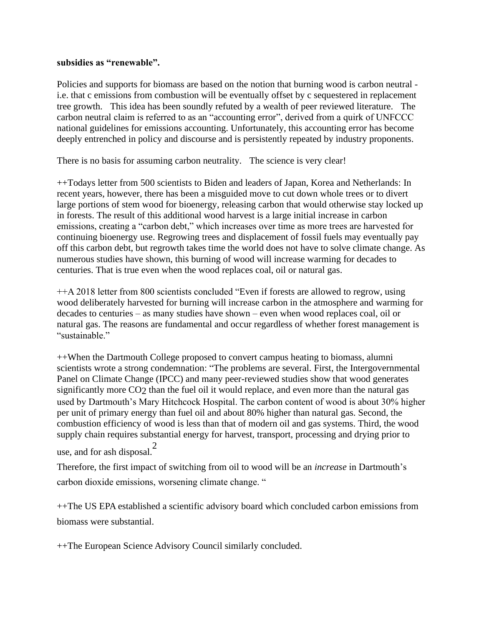#### **subsidies as "renewable".**

Policies and supports for biomass are based on the notion that burning wood is carbon neutral i.e. that c emissions from combustion will be eventually offset by c sequestered in replacement tree growth. This idea has been soundly refuted by a wealth of peer reviewed literature. The carbon neutral claim is referred to as an ["accounting error"](https://www.pfpi.net/wp-content/uploads/2011/03/Searchinger-et-al-2009.pdf), derived from a quirk of UNFCCC national guidelines for emissions accounting. Unfortunately, this accounting error has become deeply entrenched in policy and discourse and is persistently repeated by industry proponents.

There is no basis for assuming carbon neutrality. The science is very clear!

+[+Todays letter from 500 scientists t](https://www.dropbox.com/s/hdmmcnd0d1d2lq5/Scientist%20Letter%20to%20Biden%2C%20von%20der%20Leyen%2C%20Michel%2C%20Suga%20%26%20Moon%20%20Re.%20Forest%20Biomass%20%28February%2011%2C%202021%29.pdf?dl=0)o Biden and leaders of Japan, Korea and Netherlands: In recent years, however, there has been a misguided move to cut down whole trees or to divert large portions of stem wood for bioenergy, releasing carbon that would otherwise stay locked up in forests. The result of this additional wood harvest is a large initial increase in carbon emissions, creating a "carbon debt," which increases over time as more trees are harvested for continuing bioenergy use. Regrowing trees and displacement of fossil fuels may eventually pay off this carbon debt, but regrowth takes time the world does not have to solve climate change. As numerous studies have shown, this burning of wood will increase warming for decades to centuries. That is true even when the wood replaces coal, oil or natural gas.

++A 2018 letter from 800 scientists concluded "Even if forests are allowed to regrow, using wood deliberately harvested for burning will increase carbon in the atmosphere and warming for decades to centuries – as many studies have shown – even when wood replaces coal, oil or natural gas. The reasons are fundamental and occur regardless of whether forest management is "sustainable."

++When the Dartmouth College proposed to convert campus heating to biomass, alumni scientists [wrote a strong condemnation:](https://vtdigger.org/2019/08/04/scientists-say-dartmouth-colleges-biomass-plan-is-a-bad-idea/) "The problems are several. First, the Intergovernmental Panel on Climate Change (IPCC) and many peer-reviewed studies show that wood generates significantly more CO2 than the fuel oil it would replace, and even more than the natural gas used by Dartmouth's Mary Hitchcock Hospital. The carbon content of wood is about 30% higher per unit of primary energy than fuel oil and about 80% higher than natural gas. Second, the combustion efficiency of wood is less than that of modern oil and gas systems. Third, the wood supply chain requires substantial energy for harvest, transport, processing and drying prior to

use, and for ash disposal.<sup>2</sup>

Therefore, the first impact of switching from oil to wood will be an *increase* in Dartmouth's carbon dioxide emissions, worsening climate change. "

++The US EPA established a scientific advisory board which concluded carbon emissions from biomass were substantial.

++The European Science Advisory Council similarly concluded.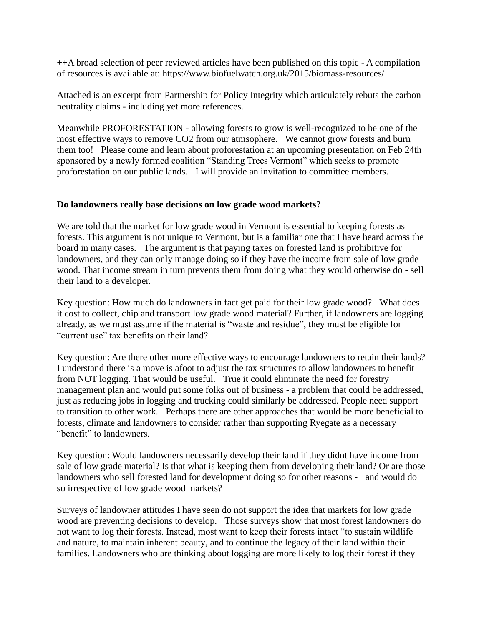++A broad selection of peer reviewed articles have been published on this topic - A compilation of resources is available at:<https://www.biofuelwatch.org.uk/2015/biomass-resources/>

Attached is an excerpt from Partnership for Policy Integrity which articulately rebuts the carbon neutrality claims - including yet more references.

Meanwhile PROFORESTATION - allowing forests to grow is well-recognized to be one of the most effective ways to remove CO2 from our atmsophere. We cannot grow forests and burn them too! Please come and learn about proforestation at an upcoming presentation on Feb 24th sponsored by a newly formed coalition "Standing Trees Vermont" which seeks to promote proforestation on our public lands. I will provide an invitation to committee members.

## **Do landowners really base decisions on low grade wood markets?**

We are told that the market for low grade wood in Vermont is essential to keeping forests as forests. This argument is not unique to Vermont, but is a familiar one that I have heard across the board in many cases. The argument is that paying taxes on forested land is prohibitive for landowners, and they can only manage doing so if they have the income from sale of low grade wood. That income stream in turn prevents them from doing what they would otherwise do - sell their land to a developer.

Key question: How much do landowners in fact get paid for their low grade wood? What does it cost to collect, chip and transport low grade wood material? Further, if landowners are logging already, as we must assume if the material is "waste and residue", they must be eligible for "current use" tax benefits on their land?

Key question: Are there other more effective ways to encourage landowners to retain their lands? I understand there is a move is afoot to adjust the tax structures to allow landowners to benefit from NOT logging. That would be useful. True it could eliminate the need for forestry management plan and would put some folks out of business - a problem that could be addressed, just as reducing jobs in logging and trucking could similarly be addressed. People need support to transition to other work. Perhaps there are other approaches that would be more beneficial to forests, climate and landowners to consider rather than supporting Ryegate as a necessary "benefit" to landowners.

Key question: Would landowners necessarily develop their land if they didnt have income from sale of low grade material? Is that what is keeping them from developing their land? Or are those landowners who sell forested land for development doing so for other reasons - and would do so irrespective of low grade wood markets?

Surveys of landowner attitudes I have seen do not support the idea that markets for low grade wood are preventing decisions to develop. Those surveys show that most forest landowners do not want to log their forests. Instead, most want to keep their forests intact "to sustain wildlife and nature, to maintain inherent beauty, and to continue the legacy of their land within their families. Landowners who are thinking about logging are more likely to log their forest if they